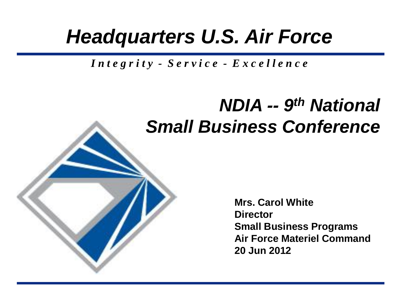## *Headquarters U.S. Air Force*

*I n t e g r i t y - S e r v i c e - E x c e l l e n c e*

### *NDIA -- 9 th National Small Business Conference*

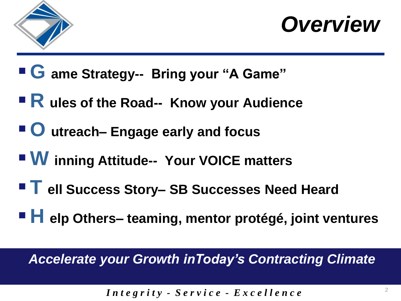

*Overview*

- **G ame Strategy-- Bring your "A Game"**
- **R ules of the Road-- Know your Audience**
- **O** utreach– Engage early and focus
- **W inning Attitude-- Your VOICE matters**
- ■ ell Success Story- SB Successes Need Heard
- **H elp Others– teaming, mentor protégé, joint ventures**

*Accelerate your Growth inToday's Contracting Climate*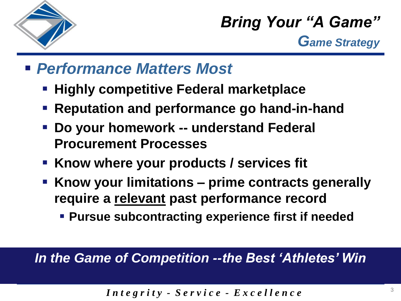

*Bring Your "A Game" Game Strategy*

#### *Performance Matters Most*

- **Highly competitive Federal marketplace**
- **Reputation and performance go hand-in-hand**
- **Do your homework -- understand Federal Procurement Processes**
- **Know where your products / services fit**
- **Know your limitations – prime contracts generally require a relevant past performance record** 
	- **Pursue subcontracting experience first if needed**

*In the Game of Competition --the Best 'Athletes' Win*

$$
Integrity - Service - Excellene
$$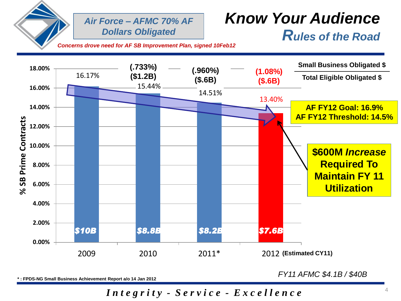

*Air Force – AFMC 70% AF Dollars Obligated* 

#### *Know Your Audience Rules of the Road*

*Concerns drove need for AF SB Improvement Plan, signed 10Feb12*



**\* : FPDS-NG Small Business Achievement Report a/o 14 Jan 2012**

*FY11 AFMC \$4.1B / \$40B*

*I n t e g r i t y - S e r v i c e - E x c e l l e n c e*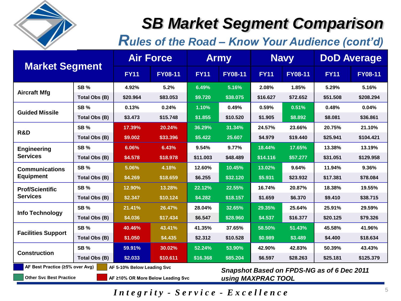

**Other Svc Best Practice**

### *SB Market Segment Comparison*

*Rules of the Road – Know Your Audience (cont'd)* 

| <b>Market Segment</b>                                         |               | <b>Air Force</b> |                | <b>Army</b> |                | <b>Navy</b>                                |                | <b>DoD Average</b> |                |  |
|---------------------------------------------------------------|---------------|------------------|----------------|-------------|----------------|--------------------------------------------|----------------|--------------------|----------------|--|
|                                                               |               | <b>FY11</b>      | <b>FY08-11</b> | <b>FY11</b> | <b>FY08-11</b> | <b>FY11</b>                                | <b>FY08-11</b> | <b>FY11</b>        | <b>FY08-11</b> |  |
| <b>Aircraft Mfg</b>                                           | <b>SB%</b>    | 4.92%            | 5.2%           | 6.49%       | 5.16%          | 2.08%                                      | 1.85%          | 5.29%              | 5.16%          |  |
|                                                               | Total Obs (B) | \$20,964         | \$83.053       | \$9.720     | \$38,075       | \$16,627                                   | \$72.652       | \$51.508           | \$208.294      |  |
| <b>Guided Missile</b>                                         | <b>SB %</b>   | 0.13%            | 0.24%          | 1.10%       | 0.49%          | 0.59%                                      | 0.51%          | 0.48%              | 0.04%          |  |
|                                                               | Total Obs (B) | \$3.473          | \$15.748       | \$1.855     | \$10.520       | \$1.905                                    | \$8.892        | \$8,081            | \$36.861       |  |
| R&D                                                           | <b>SB%</b>    | 17.39%           | 20.24%         | 36.29%      | 31.34%         | 24.57%                                     | 23.66%         | 20.75%             | 21.10%         |  |
|                                                               | Total Obs (B) | \$9.002          | \$33,396       | \$5,422     | 25.607         | \$4.979                                    | \$19,440       | \$25.941           | \$104.421      |  |
| <b>Engineering</b><br><b>Services</b>                         | <b>SB%</b>    | 6.06%            | 6.43%          | 9.54%       | 9.77%          | 18.44%                                     | 17.65%         | 13.38%             | 13.19%         |  |
|                                                               | Total Obs (B) | \$4.578          | \$18.978       | \$11.003    | \$48.489       | \$14.116                                   | \$57.277       | \$31.051           | \$129.958      |  |
| <b>Communications</b><br><b>Equipment</b>                     | <b>SB %</b>   | 5.06%            | 4.18%          | 12.60%      | 10.45%         | 13.02%                                     | 9.64%          | 11.94%             | 9.36%          |  |
|                                                               | Total Obs (B) | \$4.269          | \$18.659       | \$6.255     | \$32.120       | \$5.931                                    | \$23,932       | \$17.381           | \$78,084       |  |
| <b>Prof/Scientific</b><br><b>Services</b>                     | SB%           | 12.90%           | 13.28%         | 22.12%      | 22.55%         | 16.74%                                     | 20.87%         | 18.38%             | 19.55%         |  |
|                                                               | Total Obs (B) | \$2.347          | \$10.124       | \$4.282     | \$18.157       | \$1.659                                    | \$6.370        | \$9.410            | \$38.715       |  |
| <b>Info Technology</b>                                        | <b>SB %</b>   | 21.41%           | 26.47%         | 28.04%      | 32.65%         | 29.35%                                     | 25.64%         | 25.91%             | 29.59%         |  |
|                                                               | Total Obs (B) | \$4.036          | \$17.434       | \$6.547     | \$28.960       | \$4.537                                    | \$16.377       | \$20.125           | \$79.326       |  |
| <b>Facilities Support</b>                                     | SB%           | 40.46%           | 43.41%         | 41.35%      | 37.65%         | 58.50%                                     | 51.43%         | 45.58%             | 41.96%         |  |
|                                                               | Total Obs (B) | \$1.050          | \$4.435        | \$2.312     | \$10.528       | \$0.989                                    | \$3.489        | \$4.400            | \$18.634       |  |
| <b>Construction</b>                                           | <b>SB %</b>   | 59.91%           | 30.02%         | 52.24%      | 53.90%         | 42.90%                                     | 42.83%         | 50.39%             | 43.43%         |  |
|                                                               | Total Obs (B) | \$2.033          | \$10.611       | \$16.368    | \$85.204       | \$6.597                                    | \$28.263       | \$25.181           | \$125.379      |  |
| AF Best Practice (≥5% over Avg)<br>AF 5-10% Below Leading Svc |               |                  |                |             |                | Snapshot Based on FPDS-NG as of 6 Dec 2011 |                |                    |                |  |

**AF ≥10% OR More Below Leading Svc**

*using MAXPRAC TOOL* 

*Integrity - Service - Excellence*  $5$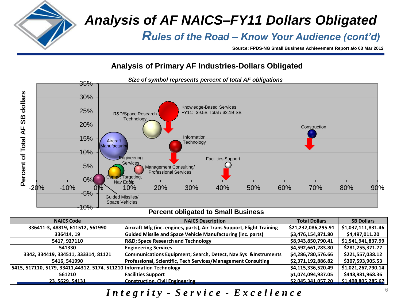

#### *Analysis of AF NAICS–FY11 Dollars Obligated*

*Rules of the Road – Know Your Audience (cont'd)* 

**Source: FPDS-NG Small Business Achievement Report a/o 03 Mar 2012**



#### *I n t e g r i t y - S e r v i c e - E x c e l l e n c e*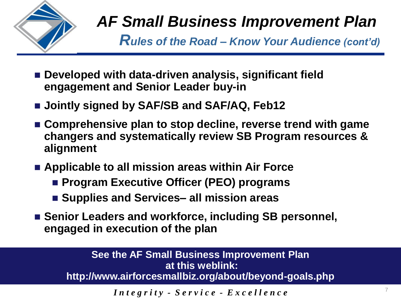

*Rules of the Road – Know Your Audience (cont'd)* 

- **Developed with data-driven analysis, significant field engagement and Senior Leader buy-in**
- Jointly signed by SAF/SB and SAF/AQ, Feb12
- **Comprehensive plan to stop decline, reverse trend with game changers and systematically review SB Program resources & alignment**
- **Applicable to all mission areas within Air Force**
	- **Program Executive Officer (PEO) programs**
	- Supplies and Services– all mission areas
- Senior Leaders and workforce, including SB personnel, **engaged in execution of the plan**

**See the AF Small Business Improvement Plan at this weblink: http://www.airforcesmallbiz.org/about/beyond-goals.php**

 $\int$ *Integrity* - Service - Excellence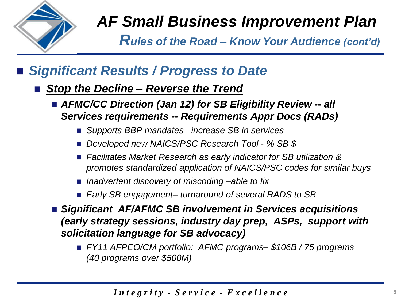

*Rules of the Road – Know Your Audience (cont'd)* 

#### *Significant Results / Progress to Date*

- *Stop the Decline Reverse the Trend* 
	- *AFMC/CC Direction (Jan 12) for SB Eligibility Review -- all Services requirements -- Requirements Appr Docs (RADs)*
		- *Supports BBP mandates– increase SB in services*
		- *Developed new NAICS/PSC Research Tool - % SB \$*
		- Facilitates Market Research as early indicator for SB utilization & *promotes standardized application of NAICS/PSC codes for similar buys*
		- Inadvertent discovery of miscoding –able to fix
		- *Early SB engagement– turnaround of several RADS to SB*
	- *Significant AF/AFMC SB involvement in Services acquisitions (early strategy sessions, industry day prep, ASPs, support with solicitation language for SB advocacy)* 
		- *FY11 AFPEO/CM portfolio: AFMC programs– \$106B / 75 programs (40 programs over \$500M)*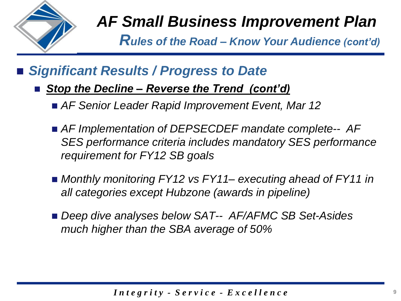

*Rules of the Road – Know Your Audience (cont'd)* 

#### *Significant Results / Progress to Date*

- *Stop the Decline Reverse the Trend (cont'd)* 
	- *AF Senior Leader Rapid Improvement Event, Mar 12*
	- *AF Implementation of DEPSECDEF mandate complete-- AF SES performance criteria includes mandatory SES performance requirement for FY12 SB goals*
	- *Monthly monitoring FY12 vs FY11– executing ahead of FY11 in all categories except Hubzone (awards in pipeline)*
	- *Deep dive analyses below SAT-- AF/AFMC SB Set-Asides much higher than the SBA average of 50%*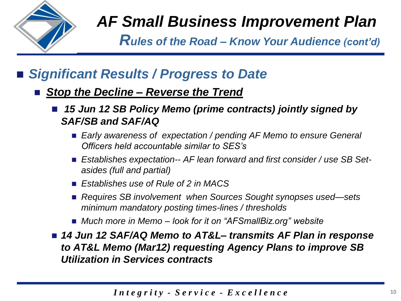

*Rules of the Road – Know Your Audience (cont'd)* 

#### *Significant Results / Progress to Date*

- *Stop the Decline – Reverse the Trend* 
	- *15 Jun 12 SB Policy Memo (prime contracts) jointly signed by SAF/SB and SAF/AQ*
		- *Early awareness of expectation / pending AF Memo to ensure General Officers held accountable similar to SES's*
		- *Establishes expectation-- AF lean forward and first consider / use SB Setasides (full and partial)*
		- *Establishes use of Rule of 2 in MACS*
		- *Requires SB involvement when Sources Sought synopses used—sets minimum mandatory posting times-lines / thresholds*
		- *Much more in Memo – look for it on "AFSmallBiz.org" website*

■ 14 Jun 12 SAF/AQ Memo to AT&L– *transmits AF Plan in response to AT&L Memo (Mar12) requesting Agency Plans to improve SB Utilization in Services contracts*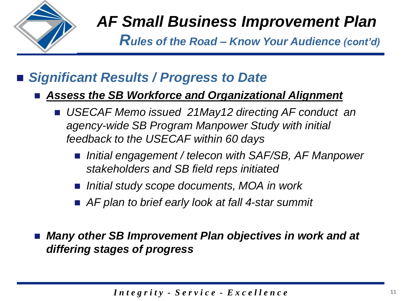

*Rules of the Road – Know Your Audience (cont'd)* 

#### *Significant Results / Progress to Date*

#### *Assess the SB Workforce and Organizational Alignment*

- *USECAF Memo issued 21May12 directing AF conduct an agency-wide SB Program Manpower Study with initial feedback to the USECAF within 60 days*
	- *Initial engagement / telecon with SAF/SB, AF Manpower stakeholders and SB field reps initiated*
	- *Initial study scope documents, MOA in work*
	- *AF plan to brief early look at fall 4-star summit*

 *Many other SB Improvement Plan objectives in work and at differing stages of progress*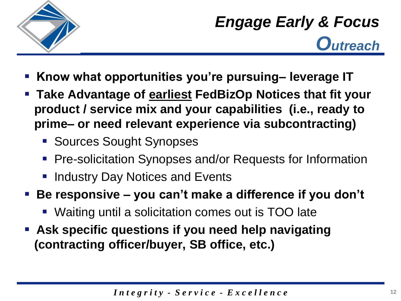

*Engage Early & Focus Outreach*

- **Know what opportunities you're pursuing– leverage IT**
- **Take Advantage of earliest FedBizOp Notices that fit your product / service mix and your capabilities (i.e., ready to prime– or need relevant experience via subcontracting)** 
	- **Sources Sought Synopses**
	- **Pre-solicitation Synopses and/or Requests for Information**
	- Industry Day Notices and Events
- **Be responsive – you can't make a difference if you don't**
	- Waiting until a solicitation comes out is TOO late
- **Ask specific questions if you need help navigating (contracting officer/buyer, SB office, etc.)**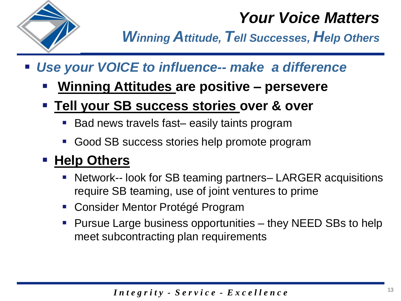

### *Your Voice Matters*

*Winning Attitude, Tell Successes, Help Others*

- *Use your VOICE to influence-- make a difference*
	- **Winning Attitudes are positive – persevere**
	- **Tell your SB success stories over & over**
		- Bad news travels fast– easily taints program
		- Good SB success stories help promote program

#### **Help Others**

- Network-- look for SB teaming partners– LARGER acquisitions require SB teaming, use of joint ventures to prime 13<br>**5 13**
- Consider Mentor Protégé Program
- Pursue Large business opportunities they NEED SBs to help meet subcontracting plan requirements